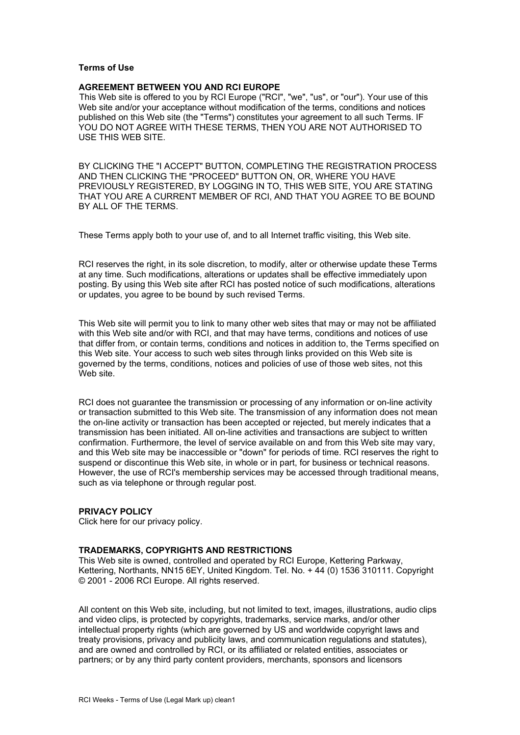### **Terms of Use**

### **AGREEMENT BETWEEN YOU AND RCI EUROPE**

This Web site is offered to you by RCI Europe ("RCI", "we", "us", or "our"). Your use of this Web site and/or your acceptance without modification of the terms, conditions and notices published on this Web site (the "Terms") constitutes your agreement to all such Terms. IF YOU DO NOT AGREE WITH THESE TERMS, THEN YOU ARE NOT AUTHORISED TO USE THIS WEB SITE.

BY CLICKING THE "I ACCEPT" BUTTON, COMPLETING THE REGISTRATION PROCESS AND THEN CLICKING THE "PROCEED" BUTTON ON, OR, WHERE YOU HAVE PREVIOUSLY REGISTERED, BY LOGGING IN TO, THIS WEB SITE, YOU ARE STATING THAT YOU ARE A CURRENT MEMBER OF RCI, AND THAT YOU AGREE TO BE BOUND BY ALL OF THE TERMS.

These Terms apply both to your use of, and to all Internet traffic visiting, this Web site.

RCI reserves the right, in its sole discretion, to modify, alter or otherwise update these Terms at any time. Such modifications, alterations or updates shall be effective immediately upon posting. By using this Web site after RCI has posted notice of such modifications, alterations or updates, you agree to be bound by such revised Terms.

This Web site will permit you to link to many other web sites that may or may not be affiliated with this Web site and/or with RCI, and that may have terms, conditions and notices of use that differ from, or contain terms, conditions and notices in addition to, the Terms specified on this Web site. Your access to such web sites through links provided on this Web site is governed by the terms, conditions, notices and policies of use of those web sites, not this Web site.

RCI does not guarantee the transmission or processing of any information or on-line activity or transaction submitted to this Web site. The transmission of any information does not mean the on-line activity or transaction has been accepted or rejected, but merely indicates that a transmission has been initiated. All on-line activities and transactions are subject to written confirmation. Furthermore, the level of service available on and from this Web site may vary, and this Web site may be inaccessible or "down" for periods of time. RCI reserves the right to suspend or discontinue this Web site, in whole or in part, for business or technical reasons. However, the use of RCI's membership services may be accessed through traditional means, such as via telephone or through regular post.

### **PRIVACY POLICY**

Click here for our privacy policy.

#### **TRADEMARKS, COPYRIGHTS AND RESTRICTIONS**

This Web site is owned, controlled and operated by RCI Europe, Kettering Parkway, Kettering, Northants, NN15 6EY, United Kingdom. Tel. No. + 44 (0) 1536 310111. Copyright © 2001 - 2006 RCI Europe. All rights reserved.

All content on this Web site, including, but not limited to text, images, illustrations, audio clips and video clips, is protected by copyrights, trademarks, service marks, and/or other intellectual property rights (which are governed by US and worldwide copyright laws and treaty provisions, privacy and publicity laws, and communication regulations and statutes), and are owned and controlled by RCI, or its affiliated or related entities, associates or partners; or by any third party content providers, merchants, sponsors and licensors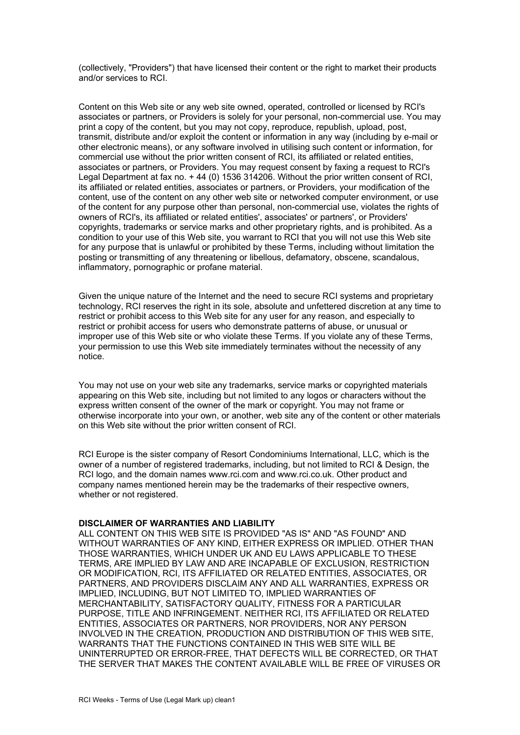(collectively, "Providers") that have licensed their content or the right to market their products and/or services to RCI.

Content on this Web site or any web site owned, operated, controlled or licensed by RCI's associates or partners, or Providers is solely for your personal, non-commercial use. You may print a copy of the content, but you may not copy, reproduce, republish, upload, post, transmit, distribute and/or exploit the content or information in any way (including by e-mail or other electronic means), or any software involved in utilising such content or information, for commercial use without the prior written consent of RCI, its affiliated or related entities, associates or partners, or Providers. You may request consent by faxing a request to RCI's Legal Department at fax no. + 44 (0) 1536 314206. Without the prior written consent of RCI, its affiliated or related entities, associates or partners, or Providers, your modification of the content, use of the content on any other web site or networked computer environment, or use of the content for any purpose other than personal, non-commercial use, violates the rights of owners of RCI's, its affiliated or related entities', associates' or partners', or Providers' copyrights, trademarks or service marks and other proprietary rights, and is prohibited. As a condition to your use of this Web site, you warrant to RCI that you will not use this Web site for any purpose that is unlawful or prohibited by these Terms, including without limitation the posting or transmitting of any threatening or libellous, defamatory, obscene, scandalous, inflammatory, pornographic or profane material.

Given the unique nature of the Internet and the need to secure RCI systems and proprietary technology, RCI reserves the right in its sole, absolute and unfettered discretion at any time to restrict or prohibit access to this Web site for any user for any reason, and especially to restrict or prohibit access for users who demonstrate patterns of abuse, or unusual or improper use of this Web site or who violate these Terms. If you violate any of these Terms, your permission to use this Web site immediately terminates without the necessity of any notice.

You may not use on your web site any trademarks, service marks or copyrighted materials appearing on this Web site, including but not limited to any logos or characters without the express written consent of the owner of the mark or copyright. You may not frame or otherwise incorporate into your own, or another, web site any of the content or other materials on this Web site without the prior written consent of RCI.

RCI Europe is the sister company of Resort Condominiums International, LLC, which is the owner of a number of registered trademarks, including, but not limited to RCI & Design, the RCI logo, and the domain names www.rci.com and www.rci.co.uk. Other product and company names mentioned herein may be the trademarks of their respective owners, whether or not registered.

#### **DISCLAIMER OF WARRANTIES AND LIABILITY**

ALL CONTENT ON THIS WEB SITE IS PROVIDED "AS IS" AND "AS FOUND" AND WITHOUT WARRANTIES OF ANY KIND, EITHER EXPRESS OR IMPLIED. OTHER THAN THOSE WARRANTIES, WHICH UNDER UK AND EU LAWS APPLICABLE TO THESE TERMS, ARE IMPLIED BY LAW AND ARE INCAPABLE OF EXCLUSION, RESTRICTION OR MODIFICATION, RCI, ITS AFFILIATED OR RELATED ENTITIES, ASSOCIATES, OR PARTNERS, AND PROVIDERS DISCLAIM ANY AND ALL WARRANTIES, EXPRESS OR IMPLIED, INCLUDING, BUT NOT LIMITED TO, IMPLIED WARRANTIES OF MERCHANTABILITY, SATISFACTORY QUALITY, FITNESS FOR A PARTICULAR PURPOSE, TITLE AND INFRINGEMENT. NEITHER RCI, ITS AFFILIATED OR RELATED ENTITIES, ASSOCIATES OR PARTNERS, NOR PROVIDERS, NOR ANY PERSON INVOLVED IN THE CREATION, PRODUCTION AND DISTRIBUTION OF THIS WEB SITE, WARRANTS THAT THE FUNCTIONS CONTAINED IN THIS WEB SITE WILL BE UNINTERRUPTED OR ERROR-FREE, THAT DEFECTS WILL BE CORRECTED, OR THAT THE SERVER THAT MAKES THE CONTENT AVAILABLE WILL BE FREE OF VIRUSES OR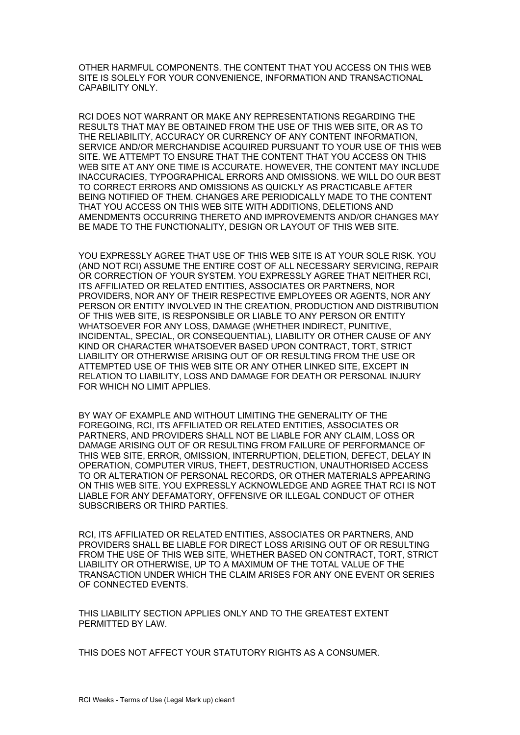OTHER HARMFUL COMPONENTS. THE CONTENT THAT YOU ACCESS ON THIS WEB SITE IS SOLELY FOR YOUR CONVENIENCE, INFORMATION AND TRANSACTIONAL CAPABILITY ONLY.

RCI DOES NOT WARRANT OR MAKE ANY REPRESENTATIONS REGARDING THE RESULTS THAT MAY BE OBTAINED FROM THE USE OF THIS WEB SITE, OR AS TO THE RELIABILITY, ACCURACY OR CURRENCY OF ANY CONTENT INFORMATION, SERVICE AND/OR MERCHANDISE ACQUIRED PURSUANT TO YOUR USE OF THIS WEB SITE. WE ATTEMPT TO ENSURE THAT THE CONTENT THAT YOU ACCESS ON THIS WEB SITE AT ANY ONE TIME IS ACCURATE. HOWEVER, THE CONTENT MAY INCLUDE INACCURACIES, TYPOGRAPHICAL ERRORS AND OMISSIONS. WE WILL DO OUR BEST TO CORRECT ERRORS AND OMISSIONS AS QUICKLY AS PRACTICABLE AFTER BEING NOTIFIED OF THEM. CHANGES ARE PERIODICALLY MADE TO THE CONTENT THAT YOU ACCESS ON THIS WEB SITE WITH ADDITIONS, DELETIONS AND AMENDMENTS OCCURRING THERETO AND IMPROVEMENTS AND/OR CHANGES MAY BE MADE TO THE FUNCTIONALITY, DESIGN OR LAYOUT OF THIS WEB SITE.

YOU EXPRESSLY AGREE THAT USE OF THIS WEB SITE IS AT YOUR SOLE RISK. YOU (AND NOT RCI) ASSUME THE ENTIRE COST OF ALL NECESSARY SERVICING, REPAIR OR CORRECTION OF YOUR SYSTEM. YOU EXPRESSLY AGREE THAT NEITHER RCI, ITS AFFILIATED OR RELATED ENTITIES, ASSOCIATES OR PARTNERS, NOR PROVIDERS, NOR ANY OF THEIR RESPECTIVE EMPLOYEES OR AGENTS, NOR ANY PERSON OR ENTITY INVOLVED IN THE CREATION, PRODUCTION AND DISTRIBUTION OF THIS WEB SITE, IS RESPONSIBLE OR LIABLE TO ANY PERSON OR ENTITY WHATSOEVER FOR ANY LOSS, DAMAGE (WHETHER INDIRECT, PUNITIVE, INCIDENTAL, SPECIAL, OR CONSEQUENTIAL), LIABILITY OR OTHER CAUSE OF ANY KIND OR CHARACTER WHATSOEVER BASED UPON CONTRACT, TORT, STRICT LIABILITY OR OTHERWISE ARISING OUT OF OR RESULTING FROM THE USE OR ATTEMPTED USE OF THIS WEB SITE OR ANY OTHER LINKED SITE, EXCEPT IN RELATION TO LIABILITY, LOSS AND DAMAGE FOR DEATH OR PERSONAL INJURY FOR WHICH NO LIMIT APPLIES.

BY WAY OF EXAMPLE AND WITHOUT LIMITING THE GENERALITY OF THE FOREGOING, RCI, ITS AFFILIATED OR RELATED ENTITIES, ASSOCIATES OR PARTNERS, AND PROVIDERS SHALL NOT BE LIABLE FOR ANY CLAIM, LOSS OR DAMAGE ARISING OUT OF OR RESULTING FROM FAILURE OF PERFORMANCE OF THIS WEB SITE, ERROR, OMISSION, INTERRUPTION, DELETION, DEFECT, DELAY IN OPERATION, COMPUTER VIRUS, THEFT, DESTRUCTION, UNAUTHORISED ACCESS TO OR ALTERATION OF PERSONAL RECORDS, OR OTHER MATERIALS APPEARING ON THIS WEB SITE. YOU EXPRESSLY ACKNOWLEDGE AND AGREE THAT RCI IS NOT LIABLE FOR ANY DEFAMATORY, OFFENSIVE OR ILLEGAL CONDUCT OF OTHER SUBSCRIBERS OR THIRD PARTIES.

RCI, ITS AFFILIATED OR RELATED ENTITIES, ASSOCIATES OR PARTNERS, AND PROVIDERS SHALL BE LIABLE FOR DIRECT LOSS ARISING OUT OF OR RESULTING FROM THE USE OF THIS WEB SITE, WHETHER BASED ON CONTRACT, TORT, STRICT LIABILITY OR OTHERWISE, UP TO A MAXIMUM OF THE TOTAL VALUE OF THE TRANSACTION UNDER WHICH THE CLAIM ARISES FOR ANY ONE EVENT OR SERIES OF CONNECTED EVENTS.

THIS LIABILITY SECTION APPLIES ONLY AND TO THE GREATEST EXTENT PERMITTED BY LAW.

THIS DOES NOT AFFECT YOUR STATUTORY RIGHTS AS A CONSUMER.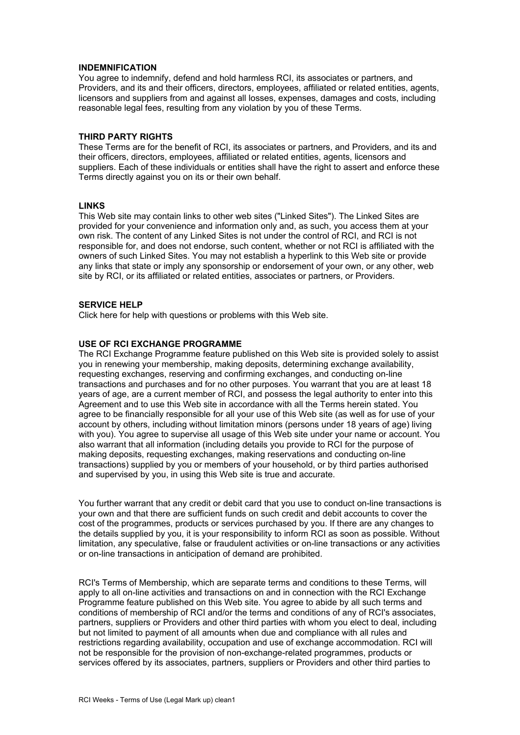# **INDEMNIFICATION**

You agree to indemnify, defend and hold harmless RCI, its associates or partners, and Providers, and its and their officers, directors, employees, affiliated or related entities, agents, licensors and suppliers from and against all losses, expenses, damages and costs, including reasonable legal fees, resulting from any violation by you of these Terms.

#### **THIRD PARTY RIGHTS**

These Terms are for the benefit of RCI, its associates or partners, and Providers, and its and their officers, directors, employees, affiliated or related entities, agents, licensors and suppliers. Each of these individuals or entities shall have the right to assert and enforce these Terms directly against you on its or their own behalf.

### **LINKS**

This Web site may contain links to other web sites ("Linked Sites"). The Linked Sites are provided for your convenience and information only and, as such, you access them at your own risk. The content of any Linked Sites is not under the control of RCI, and RCI is not responsible for, and does not endorse, such content, whether or not RCI is affiliated with the owners of such Linked Sites. You may not establish a hyperlink to this Web site or provide any links that state or imply any sponsorship or endorsement of your own, or any other, web site by RCI, or its affiliated or related entities, associates or partners, or Providers.

#### **SERVICE HELP**

Click here for help with questions or problems with this Web site.

### **USE OF RCI EXCHANGE PROGRAMME**

The RCI Exchange Programme feature published on this Web site is provided solely to assist you in renewing your membership, making deposits, determining exchange availability, requesting exchanges, reserving and confirming exchanges, and conducting on-line transactions and purchases and for no other purposes. You warrant that you are at least 18 years of age, are a current member of RCI, and possess the legal authority to enter into this Agreement and to use this Web site in accordance with all the Terms herein stated. You agree to be financially responsible for all your use of this Web site (as well as for use of your account by others, including without limitation minors (persons under 18 years of age) living with you). You agree to supervise all usage of this Web site under your name or account. You also warrant that all information (including details you provide to RCI for the purpose of making deposits, requesting exchanges, making reservations and conducting on-line transactions) supplied by you or members of your household, or by third parties authorised and supervised by you, in using this Web site is true and accurate.

You further warrant that any credit or debit card that you use to conduct on-line transactions is your own and that there are sufficient funds on such credit and debit accounts to cover the cost of the programmes, products or services purchased by you. If there are any changes to the details supplied by you, it is your responsibility to inform RCI as soon as possible. Without limitation, any speculative, false or fraudulent activities or on-line transactions or any activities or on-line transactions in anticipation of demand are prohibited.

RCI's Terms of Membership, which are separate terms and conditions to these Terms, will apply to all on-line activities and transactions on and in connection with the RCI Exchange Programme feature published on this Web site. You agree to abide by all such terms and conditions of membership of RCI and/or the terms and conditions of any of RCI's associates, partners, suppliers or Providers and other third parties with whom you elect to deal, including but not limited to payment of all amounts when due and compliance with all rules and restrictions regarding availability, occupation and use of exchange accommodation. RCI will not be responsible for the provision of non-exchange-related programmes, products or services offered by its associates, partners, suppliers or Providers and other third parties to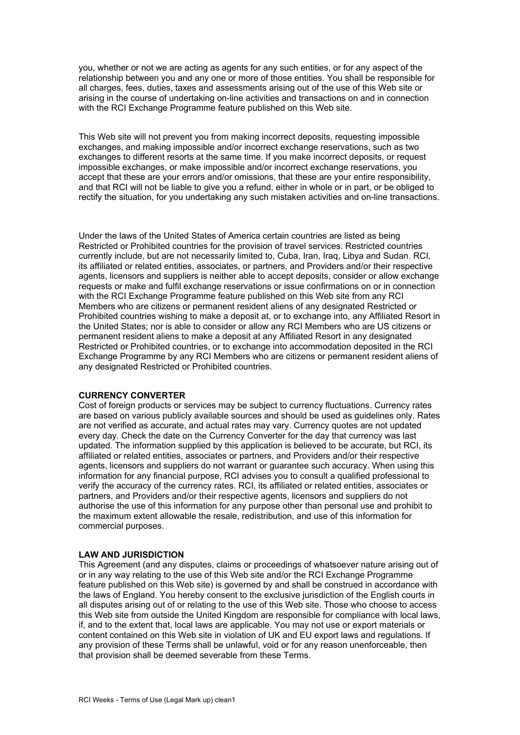you, whether or not we are acting as agents for any such entities, or for any aspect of the relationship between you and any one or more of those entities. You shall be responsible for all charges, fees, duties, taxes and assessments arising out of the use of this Web site or arising in the course of undertaking on-line activities and transactions on and in connection with the RCI Exchange Programme feature published on this Web site.

This Web site will not prevent you from making incorrect deposits, requesting impossible exchanges, and making impossible and/or incorrect exchange reservations, such as two exchanges to different resorts at the same time. If you make incorrect deposits, or request impossible exchanges, or make impossible and/or incorrect exchange reservations, you accept that these are your errors and/or omissions, that these are your entire responsibility, and that RCI will not be liable to give you a refund, either in whole or in part, or be obliged to rectify the situation, for you undertaking any such mistaken activities and on-line transactions.

Under the laws of the United States of America certain countries are listed as being Restricted or Prohibited countries for the provision of travel services. Restricted countries currently include, but are not necessarily limited to, Cuba, Iran, Iraq, Libya and Sudan. RCI, its affiliated or related entities, associates, or partners, and Providers and/or their respective agents, licensors and suppliers is neither able to accept deposits, consider or allow exchange requests or make and fulfil exchange reservations or issue confirmations on or in connection with the RCI Exchange Programme feature published on this Web site from any RCI Members who are citizens or permanent resident aliens of any designated Restricted or Prohibited countries wishing to make a deposit at, or to exchange into, any Affiliated Resort in the United States; nor is able to consider or allow any RCI Members who are US citizens or permanent resident aliens to make a deposit at any Affiliated Resort in any designated Restricted or Prohibited countries, or to exchange into accommodation deposited in the RCI Exchange Programme by any RCI Members who are citizens or permanent resident aliens of any designated Restricted or Prohibited countries.

### **CURRENCY CONVERTER**

Cost of foreign products or services may be subject to currency fluctuations. Currency rates are based on various publicly available sources and should be used as guidelines only. Rates are not verified as accurate, and actual rates may vary. Currency quotes are not updated every day. Check the date on the Currency Converter for the day that currency was last updated. The information supplied by this application is believed to be accurate, but RCI, its affiliated or related entities, associates or partners, and Providers and/or their respective agents, licensors and suppliers do not warrant or guarantee such accuracy. When using this information for any financial purpose, RCI advises you to consult a qualified professional to verify the accuracy of the currency rates. RCI, its affiliated or related entities, associates or partners, and Providers and/or their respective agents, licensors and suppliers do not authorise the use of this information for any purpose other than personal use and prohibit to the maximum extent allowable the resale, redistribution, and use of this information for commercial purposes.

### **LAW AND JURISDICTION**

This Agreement (and any disputes, claims or proceedings of whatsoever nature arising out of or in any way relating to the use of this Web site and/or the RCI Exchange Programme feature published on this Web site) is governed by and shall be construed in accordance with the laws of England. You hereby consent to the exclusive jurisdiction of the English courts in all disputes arising out of or relating to the use of this Web site. Those who choose to access this Web site from outside the United Kingdom are responsible for compliance with local laws, if, and to the extent that, local laws are applicable. You may not use or export materials or content contained on this Web site in violation of UK and EU export laws and regulations. If any provision of these Terms shall be unlawful, void or for any reason unenforceable, then that provision shall be deemed severable from these Terms.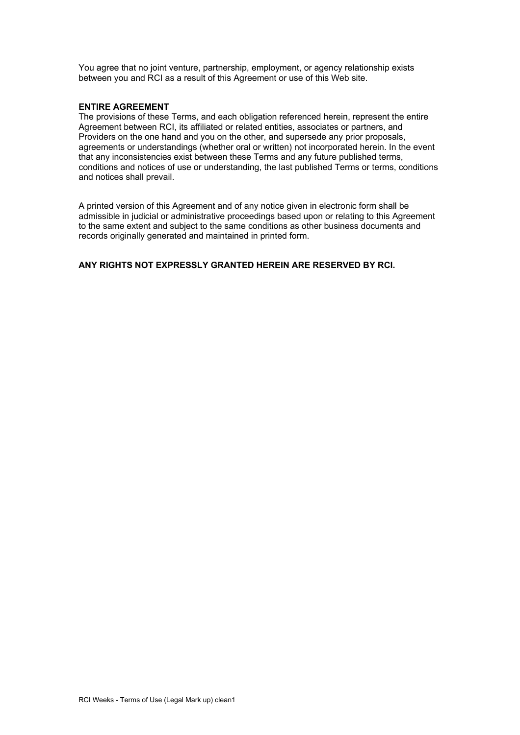You agree that no joint venture, partnership, employment, or agency relationship exists between you and RCI as a result of this Agreement or use of this Web site.

### **ENTIRE AGREEMENT**

The provisions of these Terms, and each obligation referenced herein, represent the entire Agreement between RCI, its affiliated or related entities, associates or partners, and Providers on the one hand and you on the other, and supersede any prior proposals, agreements or understandings (whether oral or written) not incorporated herein. In the event that any inconsistencies exist between these Terms and any future published terms, conditions and notices of use or understanding, the last published Terms or terms, conditions and notices shall prevail.

A printed version of this Agreement and of any notice given in electronic form shall be admissible in judicial or administrative proceedings based upon or relating to this Agreement to the same extent and subject to the same conditions as other business documents and records originally generated and maintained in printed form.

### **ANY RIGHTS NOT EXPRESSLY GRANTED HEREIN ARE RESERVED BY RCI.**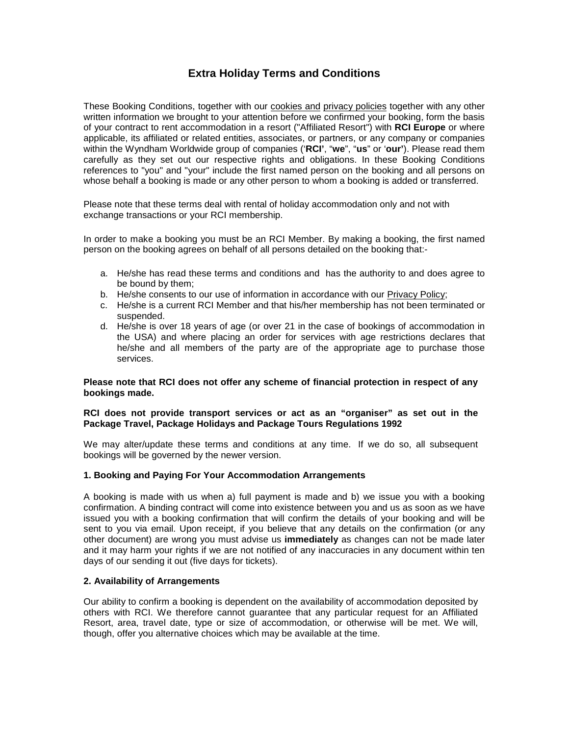# **Extra Holiday Terms and Conditions**

These Booking Conditions, together with our cookies and privacy policies together with any other written information we brought to your attention before we confirmed your booking, form the basis of your contract to rent accommodation in a resort ("Affiliated Resort") with **RCI Europe** or where applicable, its affiliated or related entities, associates, or partners, or any company or companies within the Wyndham Worldwide group of companies ('**RCI'**, "**we**", "**us**" or '**our'**). Please read them carefully as they set out our respective rights and obligations. In these Booking Conditions references to "you" and "your" include the first named person on the booking and all persons on whose behalf a booking is made or any other person to whom a booking is added or transferred.

Please note that these terms deal with rental of holiday accommodation only and not with exchange transactions or your RCI membership.

In order to make a booking you must be an RCI Member. By making a booking, the first named person on the booking agrees on behalf of all persons detailed on the booking that:-

- a. He/she has read these terms and conditions and has the authority to and does agree to be bound by them;
- b. He/she consents to our use of information in accordance with our Privacy Policy;
- c. He/she is a current RCI Member and that his/her membership has not been terminated or suspended.
- d. He/she is over 18 years of age (or over 21 in the case of bookings of accommodation in the USA) and where placing an order for services with age restrictions declares that he/she and all members of the party are of the appropriate age to purchase those services.

### **Please note that RCI does not offer any scheme of financial protection in respect of any bookings made.**

### **RCI does not provide transport services or act as an "organiser" as set out in the Package Travel, Package Holidays and Package Tours Regulations 1992**

We may alter/update these terms and conditions at any time. If we do so, all subsequent bookings will be governed by the newer version.

### **1. Booking and Paying For Your Accommodation Arrangements**

A booking is made with us when a) full payment is made and b) we issue you with a booking confirmation. A binding contract will come into existence between you and us as soon as we have issued you with a booking confirmation that will confirm the details of your booking and will be sent to you via email. Upon receipt, if you believe that any details on the confirmation (or any other document) are wrong you must advise us **immediately** as changes can not be made later and it may harm your rights if we are not notified of any inaccuracies in any document within ten days of our sending it out (five days for tickets).

### **2. Availability of Arrangements**

Our ability to confirm a booking is dependent on the availability of accommodation deposited by others with RCI. We therefore cannot guarantee that any particular request for an Affiliated Resort, area, travel date, type or size of accommodation, or otherwise will be met. We will, though, offer you alternative choices which may be available at the time.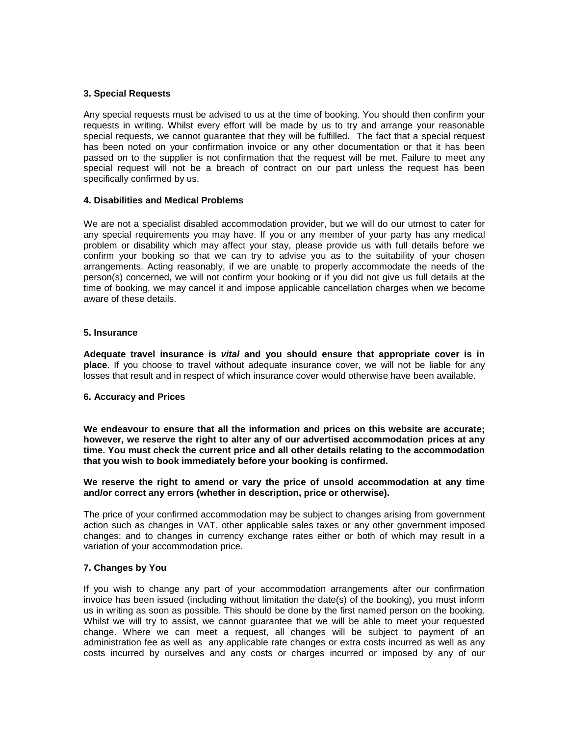### **3. Special Requests**

Any special requests must be advised to us at the time of booking. You should then confirm your requests in writing. Whilst every effort will be made by us to try and arrange your reasonable special requests, we cannot guarantee that they will be fulfilled. The fact that a special request has been noted on your confirmation invoice or any other documentation or that it has been passed on to the supplier is not confirmation that the request will be met. Failure to meet any special request will not be a breach of contract on our part unless the request has been specifically confirmed by us.

### **4. Disabilities and Medical Problems**

We are not a specialist disabled accommodation provider, but we will do our utmost to cater for any special requirements you may have. If you or any member of your party has any medical problem or disability which may affect your stay, please provide us with full details before we confirm your booking so that we can try to advise you as to the suitability of your chosen arrangements. Acting reasonably, if we are unable to properly accommodate the needs of the person(s) concerned, we will not confirm your booking or if you did not give us full details at the time of booking, we may cancel it and impose applicable cancellation charges when we become aware of these details.

### **5. Insurance**

**Adequate travel insurance is** *vital* **and you should ensure that appropriate cover is in place**. If you choose to travel without adequate insurance cover, we will not be liable for any losses that result and in respect of which insurance cover would otherwise have been available.

### **6. Accuracy and Prices**

**We endeavour to ensure that all the information and prices on this website are accurate; however, we reserve the right to alter any of our advertised accommodation prices at any time. You must check the current price and all other details relating to the accommodation that you wish to book immediately before your booking is confirmed.**

### **We reserve the right to amend or vary the price of unsold accommodation at any time and/or correct any errors (whether in description, price or otherwise).**

The price of your confirmed accommodation may be subject to changes arising from government action such as changes in VAT, other applicable sales taxes or any other government imposed changes; and to changes in currency exchange rates either or both of which may result in a variation of your accommodation price.

### **7. Changes by You**

If you wish to change any part of your accommodation arrangements after our confirmation invoice has been issued (including without limitation the date(s) of the booking), you must inform us in writing as soon as possible. This should be done by the first named person on the booking. Whilst we will try to assist, we cannot guarantee that we will be able to meet your requested change. Where we can meet a request, all changes will be subject to payment of an administration fee as well as any applicable rate changes or extra costs incurred as well as any costs incurred by ourselves and any costs or charges incurred or imposed by any of our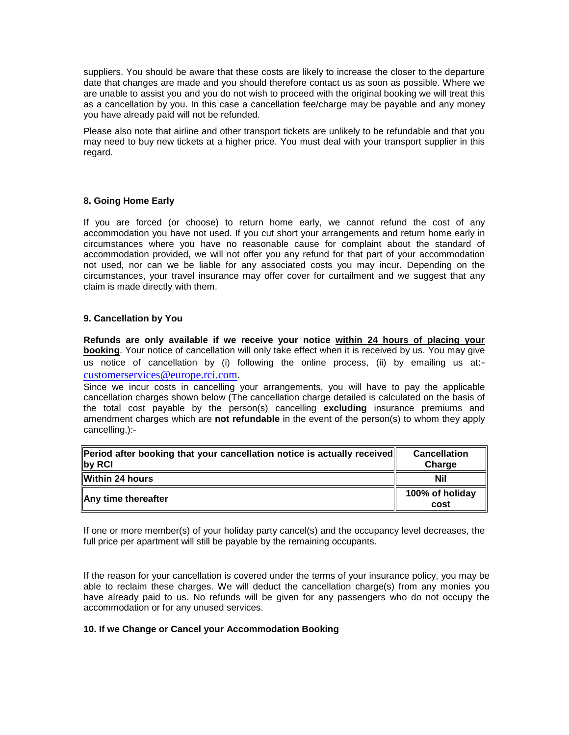suppliers. You should be aware that these costs are likely to increase the closer to the departure date that changes are made and you should therefore contact us as soon as possible. Where we are unable to assist you and you do not wish to proceed with the original booking we will treat this as a cancellation by you. In this case a cancellation fee/charge may be payable and any money you have already paid will not be refunded.

Please also note that airline and other transport tickets are unlikely to be refundable and that you may need to buy new tickets at a higher price. You must deal with your transport supplier in this regard.

### **8. Going Home Early**

If you are forced (or choose) to return home early, we cannot refund the cost of any accommodation you have not used. If you cut short your arrangements and return home early in circumstances where you have no reasonable cause for complaint about the standard of accommodation provided, we will not offer you any refund for that part of your accommodation not used, nor can we be liable for any associated costs you may incur. Depending on the circumstances, your travel insurance may offer cover for curtailment and we suggest that any claim is made directly with them.

### **9. Cancellation by You**

**Refunds are only available if we receive your notice within 24 hours of placing your booking**. Your notice of cancellation will only take effect when it is received by us. You may give us notice of cancellation by (i) following the online process, (ii) by emailing us at: [customerservices@europe.rci.com](mailto:customerservices@europe.rci.com).

Since we incur costs in cancelling your arrangements, you will have to pay the applicable cancellation charges shown below (The cancellation charge detailed is calculated on the basis of the total cost payable by the person(s) cancelling **excluding** insurance premiums and amendment charges which are **not refundable** in the event of the person(s) to whom they apply cancelling.):-

| Period after booking that your cancellation notice is actually received<br>by RCI | <b>Cancellation</b><br>Charge |
|-----------------------------------------------------------------------------------|-------------------------------|
| Within 24 hours                                                                   | Nil                           |
| Any time thereafter                                                               | 100% of holiday<br>cost       |

If one or more member(s) of your holiday party cancel(s) and the occupancy level decreases, the full price per apartment will still be payable by the remaining occupants.

If the reason for your cancellation is covered under the terms of your insurance policy, you may be able to reclaim these charges. We will deduct the cancellation charge(s) from any monies you have already paid to us. No refunds will be given for any passengers who do not occupy the accommodation or for any unused services.

### **10. If we Change or Cancel your Accommodation Booking**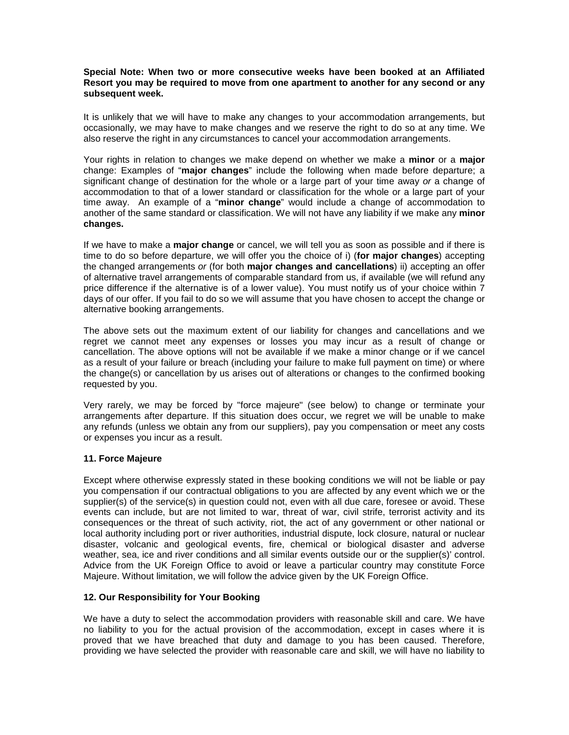#### **Special Note: When two or more consecutive weeks have been booked at an Affiliated Resort you may be required to move from one apartment to another for any second or any subsequent week.**

It is unlikely that we will have to make any changes to your accommodation arrangements, but occasionally, we may have to make changes and we reserve the right to do so at any time. We also reserve the right in any circumstances to cancel your accommodation arrangements.

Your rights in relation to changes we make depend on whether we make a **minor** or a **major**  change: Examples of "**major changes**" include the following when made before departure; a significant change of destination for the whole or a large part of your time away *or* a change of accommodation to that of a lower standard or classification for the whole or a large part of your time away. An example of a "**minor change**" would include a change of accommodation to another of the same standard or classification. We will not have any liability if we make any **minor changes.**

If we have to make a **major change** or cancel, we will tell you as soon as possible and if there is time to do so before departure, we will offer you the choice of i) (**for major changes**) accepting the changed arrangements *or* (for both **major changes and cancellations**) ii) accepting an offer of alternative travel arrangements of comparable standard from us, if available (we will refund any price difference if the alternative is of a lower value). You must notify us of your choice within 7 days of our offer. If you fail to do so we will assume that you have chosen to accept the change or alternative booking arrangements.

The above sets out the maximum extent of our liability for changes and cancellations and we regret we cannot meet any expenses or losses you may incur as a result of change or cancellation. The above options will not be available if we make a minor change or if we cancel as a result of your failure or breach (including your failure to make full payment on time) or where the change(s) or cancellation by us arises out of alterations or changes to the confirmed booking requested by you.

Very rarely, we may be forced by "force majeure" (see below) to change or terminate your arrangements after departure. If this situation does occur, we regret we will be unable to make any refunds (unless we obtain any from our suppliers), pay you compensation or meet any costs or expenses you incur as a result.

# **11. Force Majeure**

Except where otherwise expressly stated in these booking conditions we will not be liable or pay you compensation if our contractual obligations to you are affected by any event which we or the supplier(s) of the service(s) in question could not, even with all due care, foresee or avoid. These events can include, but are not limited to war, threat of war, civil strife, terrorist activity and its consequences or the threat of such activity, riot, the act of any government or other national or local authority including port or river authorities, industrial dispute, lock closure, natural or nuclear disaster, volcanic and geological events, fire, chemical or biological disaster and adverse weather, sea, ice and river conditions and all similar events outside our or the supplier(s)' control. Advice from the UK Foreign Office to avoid or leave a particular country may constitute Force Majeure. Without limitation, we will follow the advice given by the UK Foreign Office.

# **12. Our Responsibility for Your Booking**

We have a duty to select the accommodation providers with reasonable skill and care. We have no liability to you for the actual provision of the accommodation, except in cases where it is proved that we have breached that duty and damage to you has been caused. Therefore, providing we have selected the provider with reasonable care and skill, we will have no liability to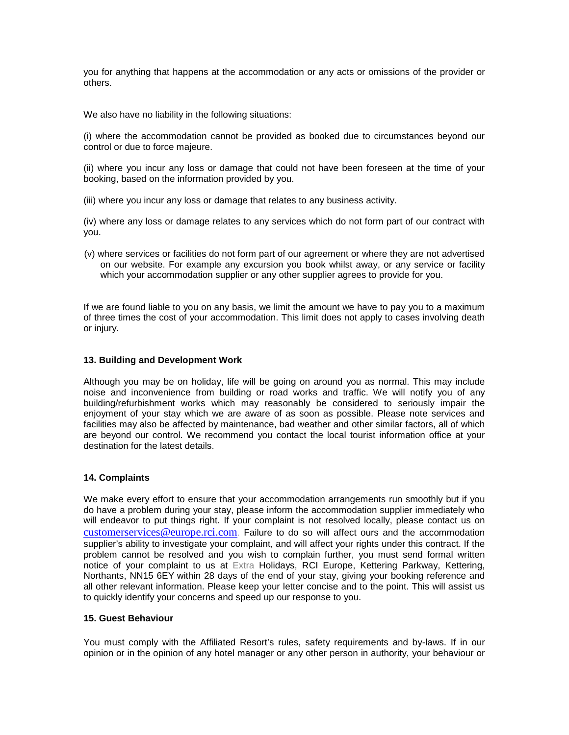you for anything that happens at the accommodation or any acts or omissions of the provider or others.

We also have no liability in the following situations:

(i) where the accommodation cannot be provided as booked due to circumstances beyond our control or due to force majeure.

(ii) where you incur any loss or damage that could not have been foreseen at the time of your booking, based on the information provided by you.

(iii) where you incur any loss or damage that relates to any business activity.

(iv) where any loss or damage relates to any services which do not form part of our contract with you.

(v) where services or facilities do not form part of our agreement or where they are not advertised on our website. For example any excursion you book whilst away, or any service or facility which your accommodation supplier or any other supplier agrees to provide for you.

If we are found liable to you on any basis, we limit the amount we have to pay you to a maximum of three times the cost of your accommodation. This limit does not apply to cases involving death or injury.

### **13. Building and Development Work**

Although you may be on holiday, life will be going on around you as normal. This may include noise and inconvenience from building or road works and traffic. We will notify you of any building/refurbishment works which may reasonably be considered to seriously impair the enjoyment of your stay which we are aware of as soon as possible. Please note services and facilities may also be affected by maintenance, bad weather and other similar factors, all of which are beyond our control. We recommend you contact the local tourist information office at your destination for the latest details.

# **14. Complaints**

We make every effort to ensure that your accommodation arrangements run smoothly but if you do have a problem during your stay, please inform the accommodation supplier immediately who will endeavor to put things right. If your complaint is not resolved locally, please contact us on [customerservices@europe.rci.com](mailto:customerservices@europe.rci.com). Failure to do so will affect ours and the accommodation supplier's ability to investigate your complaint, and will affect your rights under this contract. If the problem cannot be resolved and you wish to complain further, you must send formal written notice of your complaint to us at Extra Holidays, RCI Europe, Kettering Parkway, Kettering, Northants, NN15 6EY within 28 days of the end of your stay, giving your booking reference and all other relevant information. Please keep your letter concise and to the point. This will assist us to quickly identify your concerns and speed up our response to you.

### **15. Guest Behaviour**

You must comply with the Affiliated Resort's rules, safety requirements and by-laws. If in our opinion or in the opinion of any hotel manager or any other person in authority, your behaviour or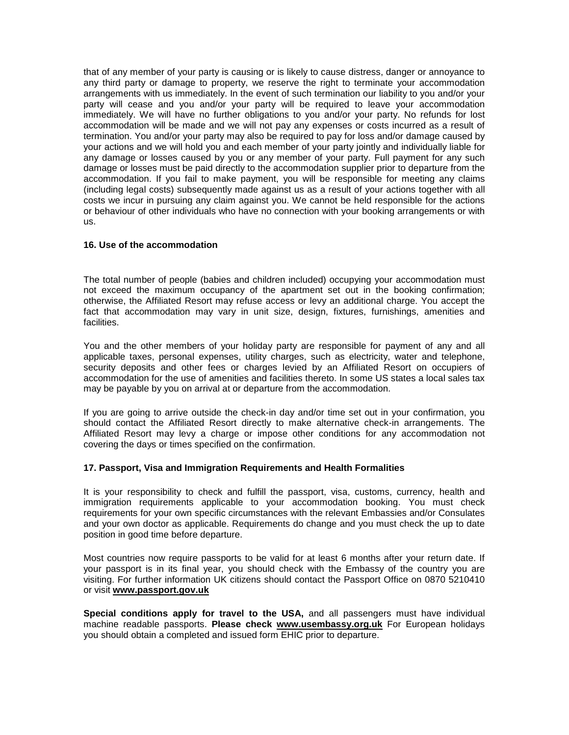that of any member of your party is causing or is likely to cause distress, danger or annoyance to any third party or damage to property, we reserve the right to terminate your accommodation arrangements with us immediately. In the event of such termination our liability to you and/or your party will cease and you and/or your party will be required to leave your accommodation immediately. We will have no further obligations to you and/or your party. No refunds for lost accommodation will be made and we will not pay any expenses or costs incurred as a result of termination. You and/or your party may also be required to pay for loss and/or damage caused by your actions and we will hold you and each member of your party jointly and individually liable for any damage or losses caused by you or any member of your party. Full payment for any such damage or losses must be paid directly to the accommodation supplier prior to departure from the accommodation. If you fail to make payment, you will be responsible for meeting any claims (including legal costs) subsequently made against us as a result of your actions together with all costs we incur in pursuing any claim against you. We cannot be held responsible for the actions or behaviour of other individuals who have no connection with your booking arrangements or with us.

### **16. Use of the accommodation**

The total number of people (babies and children included) occupying your accommodation must not exceed the maximum occupancy of the apartment set out in the booking confirmation; otherwise, the Affiliated Resort may refuse access or levy an additional charge. You accept the fact that accommodation may vary in unit size, design, fixtures, furnishings, amenities and facilities.

You and the other members of your holiday party are responsible for payment of any and all applicable taxes, personal expenses, utility charges, such as electricity, water and telephone, security deposits and other fees or charges levied by an Affiliated Resort on occupiers of accommodation for the use of amenities and facilities thereto. In some US states a local sales tax may be payable by you on arrival at or departure from the accommodation.

If you are going to arrive outside the check-in day and/or time set out in your confirmation, you should contact the Affiliated Resort directly to make alternative check-in arrangements. The Affiliated Resort may levy a charge or impose other conditions for any accommodation not covering the days or times specified on the confirmation.

### **17. Passport, Visa and Immigration Requirements and Health Formalities**

It is your responsibility to check and fulfill the passport, visa, customs, currency, health and immigration requirements applicable to your accommodation booking. You must check requirements for your own specific circumstances with the relevant Embassies and/or Consulates and your own doctor as applicable. Requirements do change and you must check the up to date position in good time before departure.

Most countries now require passports to be valid for at least 6 months after your return date. If your passport is in its final year, you should check with the Embassy of the country you are visiting. For further information UK citizens should contact the Passport Office on 0870 5210410 or visit **[www.passport.gov.uk](http://www.passport.gov.uk/)**

**Special conditions apply for travel to the USA,** and all passengers must have individual machine readable passports. **Please check [www.usembassy.org.uk](http://www.usembassy.org.uk/)** For European holidays you should obtain a completed and issued form EHIC prior to departure.